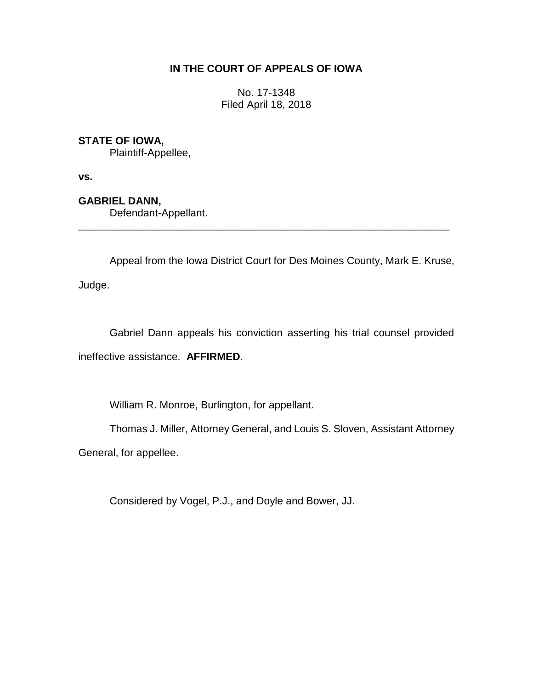## **IN THE COURT OF APPEALS OF IOWA**

No. 17-1348 Filed April 18, 2018

## **STATE OF IOWA,**

Plaintiff-Appellee,

**vs.**

**GABRIEL DANN,**

Defendant-Appellant.

Appeal from the Iowa District Court for Des Moines County, Mark E. Kruse,

\_\_\_\_\_\_\_\_\_\_\_\_\_\_\_\_\_\_\_\_\_\_\_\_\_\_\_\_\_\_\_\_\_\_\_\_\_\_\_\_\_\_\_\_\_\_\_\_\_\_\_\_\_\_\_\_\_\_\_\_\_\_\_\_

Judge.

Gabriel Dann appeals his conviction asserting his trial counsel provided ineffective assistance. **AFFIRMED**.

William R. Monroe, Burlington, for appellant.

Thomas J. Miller, Attorney General, and Louis S. Sloven, Assistant Attorney

General, for appellee.

Considered by Vogel, P.J., and Doyle and Bower, JJ.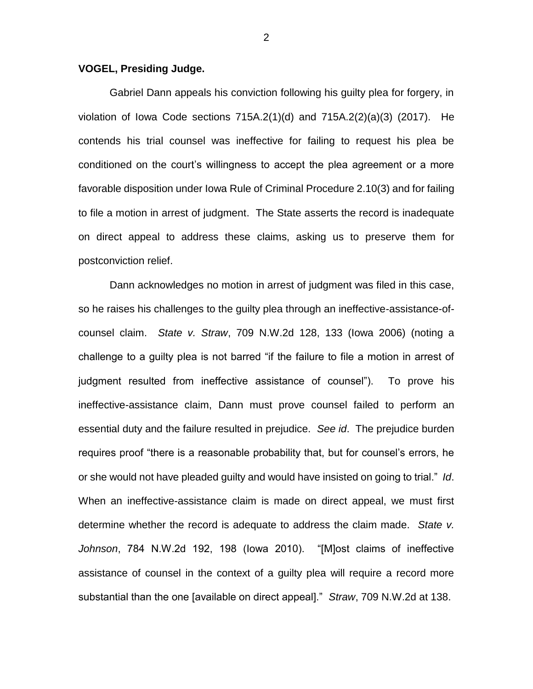## **VOGEL, Presiding Judge.**

Gabriel Dann appeals his conviction following his guilty plea for forgery, in violation of Iowa Code sections 715A.2(1)(d) and 715A.2(2)(a)(3) (2017). He contends his trial counsel was ineffective for failing to request his plea be conditioned on the court's willingness to accept the plea agreement or a more favorable disposition under Iowa Rule of Criminal Procedure 2.10(3) and for failing to file a motion in arrest of judgment. The State asserts the record is inadequate on direct appeal to address these claims, asking us to preserve them for postconviction relief.

Dann acknowledges no motion in arrest of judgment was filed in this case, so he raises his challenges to the guilty plea through an ineffective-assistance-ofcounsel claim. *State v. Straw*, 709 N.W.2d 128, 133 (Iowa 2006) (noting a challenge to a guilty plea is not barred "if the failure to file a motion in arrest of judgment resulted from ineffective assistance of counsel"). To prove his ineffective-assistance claim, Dann must prove counsel failed to perform an essential duty and the failure resulted in prejudice. *See id*. The prejudice burden requires proof "there is a reasonable probability that, but for counsel's errors, he or she would not have pleaded guilty and would have insisted on going to trial." *Id*. When an ineffective-assistance claim is made on direct appeal, we must first determine whether the record is adequate to address the claim made. *State v. Johnson*, 784 N.W.2d 192, 198 (Iowa 2010). "[M]ost claims of ineffective assistance of counsel in the context of a guilty plea will require a record more substantial than the one [available on direct appeal]." *Straw*, 709 N.W.2d at 138.